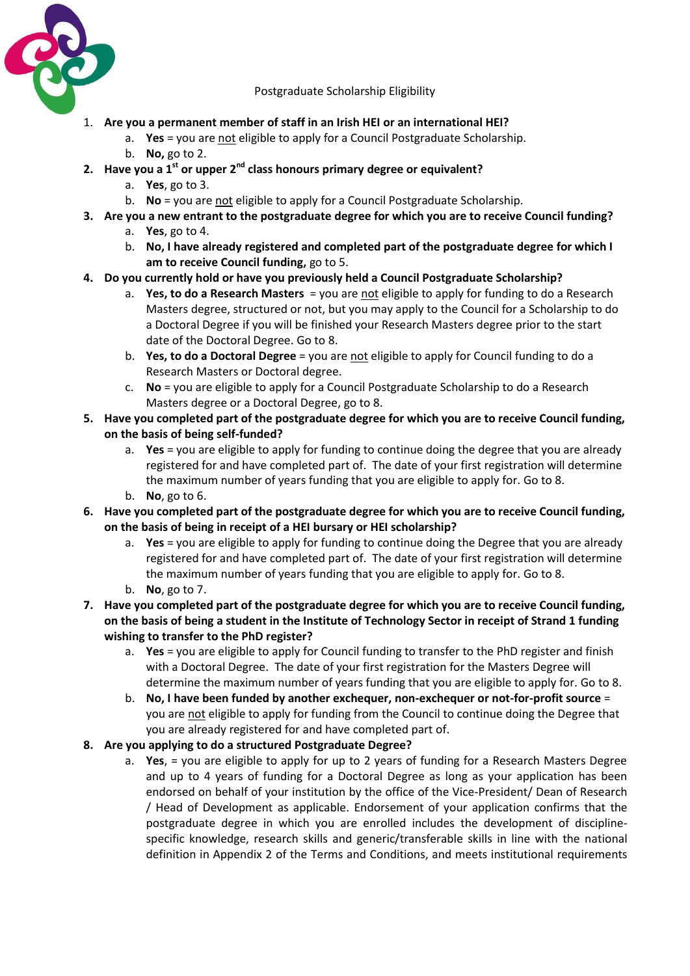

Postgraduate Scholarship Eligibility

- 1. **Are you a permanent member of staff in an Irish HEI or an international HEI?**
	- a. **Yes** = you are not eligible to apply for a Council Postgraduate Scholarship.
	- b. **No,** go to 2.
- **2. Have you a 1st or upper 2nd class honours primary degree or equivalent?**
	- a. **Yes**, go to 3.
	- b. **No** = you are not eligible to apply for a Council Postgraduate Scholarship.
- **3. Are you a new entrant to the postgraduate degree for which you are to receive Council funding?**
	- a. **Yes**, go to 4.
	- b. **No, I have already registered and completed part of the postgraduate degree for which I am to receive Council funding,** go to 5.
- **4. Do you currently hold or have you previously held a Council Postgraduate Scholarship?**
	- a. **Yes, to do a Research Masters** = you are not eligible to apply for funding to do a Research Masters degree, structured or not, but you may apply to the Council for a Scholarship to do a Doctoral Degree if you will be finished your Research Masters degree prior to the start date of the Doctoral Degree. Go to 8.
	- b. **Yes, to do a Doctoral Degree** = you are not eligible to apply for Council funding to do a Research Masters or Doctoral degree.
	- c. **No** = you are eligible to apply for a Council Postgraduate Scholarship to do a Research Masters degree or a Doctoral Degree, go to 8.
- **5. Have you completed part of the postgraduate degree for which you are to receive Council funding, on the basis of being self-funded?**
	- a. **Yes** = you are eligible to apply for funding to continue doing the degree that you are already registered for and have completed part of. The date of your first registration will determine the maximum number of years funding that you are eligible to apply for. Go to 8.
	- b. **No**, go to 6.
- **6. Have you completed part of the postgraduate degree for which you are to receive Council funding, on the basis of being in receipt of a HEI bursary or HEI scholarship?**
	- a. **Yes** = you are eligible to apply for funding to continue doing the Degree that you are already registered for and have completed part of. The date of your first registration will determine the maximum number of years funding that you are eligible to apply for. Go to 8.
	- b. **No**, go to 7.
- **7. Have you completed part of the postgraduate degree for which you are to receive Council funding, on the basis of being a student in the Institute of Technology Sector in receipt of Strand 1 funding wishing to transfer to the PhD register?**
	- a. **Yes** = you are eligible to apply for Council funding to transfer to the PhD register and finish with a Doctoral Degree. The date of your first registration for the Masters Degree will determine the maximum number of years funding that you are eligible to apply for. Go to 8.
	- b. **No, I have been funded by another exchequer, non-exchequer or not-for-profit source** = you are not eligible to apply for funding from the Council to continue doing the Degree that you are already registered for and have completed part of.
- **8. Are you applying to do a structured Postgraduate Degree?** 
	- a. **Yes**, = you are eligible to apply for up to 2 years of funding for a Research Masters Degree and up to 4 years of funding for a Doctoral Degree as long as your application has been endorsed on behalf of your institution by the office of the Vice-President/ Dean of Research / Head of Development as applicable. Endorsement of your application confirms that the postgraduate degree in which you are enrolled includes the development of disciplinespecific knowledge, research skills and generic/transferable skills in line with the national definition in Appendix 2 of the Terms and Conditions, and meets institutional requirements